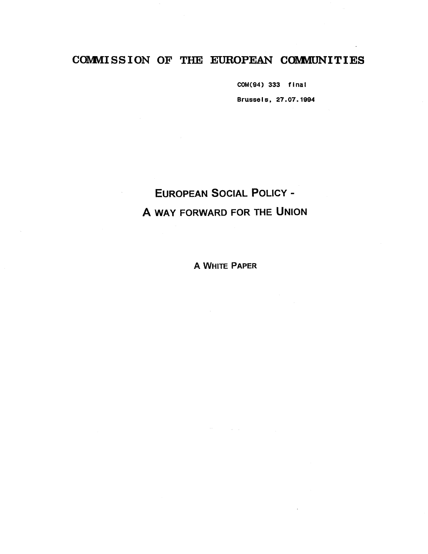## COMMISSION OF THE EUROPEAN COMMUNITIES

COM(94) 333 final Brussels, 27.07. 1994

# EUROPEAN SOCIAL POLICY - A WAY FORWARD FOR THE UNION

A WHITE PAPER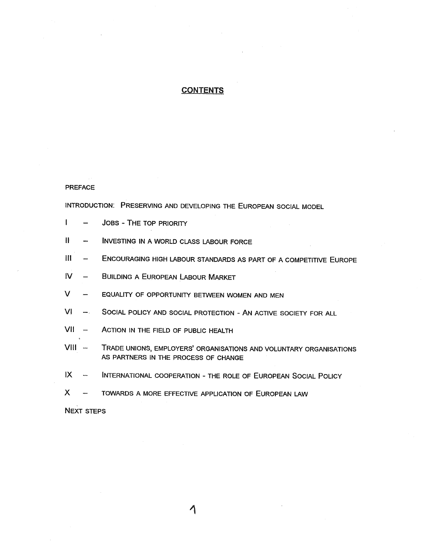#### **CONTENTS**

#### PREFACE

INTRODUCTION: PRESERVING AND DEVELOPING THE EUROPEAN SOCIAL MODEL

- $\mathbf{I}$ JOBS - THE TOP PRIORITY  $\equiv$
- TE. INVESTING IN A WORLD CLASS LABOUR FORCE  $\overline{\phantom{a}}$
- III ENCOURAGING HIGH LABOUR STANDARDS AS PART OF A COMPETITIVE EUROPE
- $\mathsf{N}$ BUILDING A EUROPEAN LABOUR MARKET  $\qquad \qquad$
- $\mathsf{V}^ \overline{\phantom{0}}$ EQUALITY OF OPPORTUNITY BETWEEN WOMEN AND MEN
- $VI$  $\frac{1}{2}$ SOCIAL POLICY AND SOCIAL PROTECTION - AN ACTIVE SOCIETY FOR ALL
- VII ACTION IN THE FIELD OF PUBLIC HEALTH
- VIII TRADE UNIONS, EMPLOYERS' ORGANISATIONS AND VOLUNTARY ORGANISATIONS AS PARTNERS IN THE PROCESS OF CHANGE
- $\mathsf{I} \mathsf{X}$ INTERNATIONAL COOPERATION - THE ROLE OF EUROPEAN SOCIAL POLICY  $\overline{a}$
- $\mathsf{X}$  $\rightarrow$ TOWARDS A MORE EFFECTIVE APPLICATION OF EUROPEAN LAW

NEXT STEPS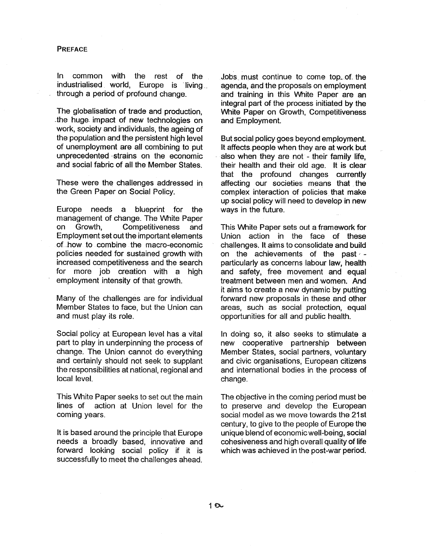#### PREFACE

In common with the rest of the industrialised world, Europe is living through a period of profound change.

The globalisation of trade and production the huge. impact of new technologies on work, society and individuals, the ageing of the population and the persistent high level of unemployment are all combining to put unprecedented strains on the economic and social fabric of all the Member States.

These were the challenges addressed in the Green Paper on Social Policy.

Europe needs a blueprint for the management of change. The White Paper on Growth. Competitiveness and Employment set out the important elements of how to combine the macro-economic policies needed for sustained growth with increased competitiveness and the search for more job creation with a high employment intensity of that growth.

Many of the challenges are for individual Member States to face, but the Union can and must play its role.

Social policy at European level has a vital part to play in underpinning the process of change. The Union cannot do everything and certainly should not seek to supplant the responsibilities at national, regional and local level.

This White Paper seeks to set out the main lines of action at Union level for the coming years.

It is based around the principle that Europe needs a broadly based, innovative and forward looking social policy if it successfully to meet the challenges ahead.

Jobs- must continue to come top~ ot the agenda, and the proposals on employment and training in this White Paper are an integral part of the process initiated by the White Paper on Growth, Competitiveness and Employment.

But social policy goes beyond employment. It affects.people when they are at work but also when they are not - their family life their health and their old age. It is clear that the profound changes currently affecting our societies means that the complex interaction of policies that make up social policy will need to develop in new ways in the future.

This White Paper sets out a framework for Union action in the face of these challenges. It aims to consolidate and build on the achievements of the past particularly as concerns labour law, health and safety, free movement and equa<sup>l</sup> treatment between men and women. And it aims to create a new dynamic by putting forward new proposals in these and other areas, such as social protection, equal opportunities for all and public health.

In doing so, it also seeks to stimulate a new cooperative partnership between Member States, social partners, voluntary and civic organisations, European citizens and international bodies in the process of change.

The objective in the coming period must be to preserve and develop the European social model as we move towards the 21st century, to give to the people of Europe the unique blend of economic well-being, social cohesiveness and high overall quality of life which was achieved in the post-war period.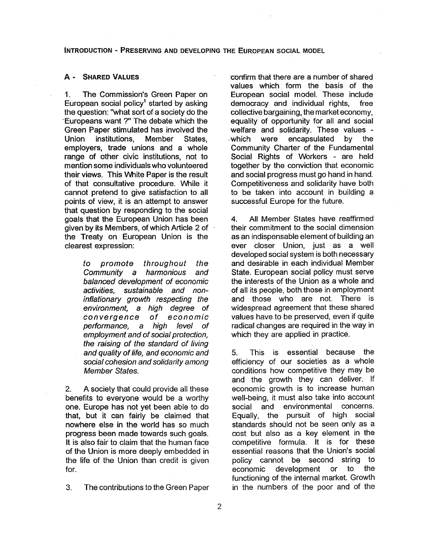#### INTRODUCTION - PRESERVING AND DEVELOPING THE EUROPEAN SOCIAL MODEL

#### A - SHARED VALUES

1. The Commission's Green Paper on European social policy<sup>1</sup> started by asking the question: "what sort of a society do the Europeans want ?" The debate which the Green Paper stimulated has involved the Union institutions. Member States. employers, trade unions and a whole range of other civic institutions, not to mention some individuals who volunteered their views. This White Paper is the result of that consultative procedure. While it cannot pretend to give satisfaction to all points of view, it is an attempt to answer that question by responding to the social goals. that the European Union has been given by its Members, of which Article 2 of the Treaty on European Union is the clearest expression:

> to promote throughout the<br>Community a harmonious and Community a harmonious balanced development of economic activities, sustainable and noninflationary growth respecting the environment, a high degree of convergence of economic performance, a high level of employment and of social protection the raising of the standard of living and quality of life, and economic and social cohesion and solidarity among Member States.

2. A society that could provide all these benefits to everyone would be a worthy one. Europe has not yet been able to do that, but it can fairly be claimed that nowhere else in the world has so much progress been made towards such goals. It is also fair to claim that the human face of the Union is more deeply embedded in the life of the Union than credit is given for.

 $3<sub>1</sub>$ The contributions to the Green Paper

confirm that there are a number of shared values which form the basis of the European social model. These include democracy and individual rights, free collective bargaining, the market economy, equality of opportunity for all and social welfare and solidarity. These values -<br>-which were encapsulated by the Community Charter of the Fundamental Social Rights of Workers - are held together by the conviction that economic and social progress must go hand in hand, Competitiveness and solidarity have both to be taken into account in building a successful Europe for the future.

4. All Member States have reaffirmed their commitment to the social dimension as an indispensable element of building an ever closer Union just as a well developed social system is both necessary and desirable in each individual Member State. European social policy must serve the interests of the Union as a whole and of all its people, both those in employment and those who are not. There widespread agreement that these shared values have to be preserved, even if quite radical changes are required in the way in which they are applied in practice.

5. This is essential because the efficiency of our societies as a whole<br>conditions how competitive they may be and the growth they can deliver. If economic growth is to increase human<br>well-being, it must also take into account social and environmental concerns. Equally, the pursuit of high social standards should not be seen only as a cost but also as a key element in the competitive formula. It is for these essential reasons that the Union's social policy cannot be second string to economic development or to the functioning of the internal market. Growth in the numbers of the poor and of the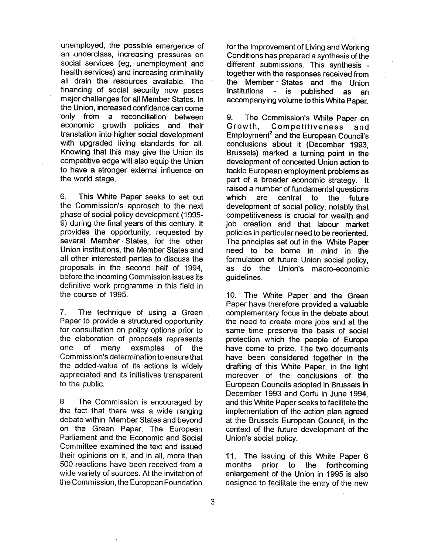unemployed, the possible emergence of an underclass, increasing pressures on social services (eg, unemployment and health services) and increasing criminality all drain the resources available, The financing of social security now poses major challenges for all Member States. In the Union, increased confidence can come only from a reconciliation between economic growth policies and their translation into higher social development with upgraded living standards for all, Knowing that this may give the Union its competitive edge will also equip the Union to have a stronger external influence on the world stage.

6. This White Paper seeks to set out the Commission's approach to the next phase of social policy development (1995- 9) during the final years of this century. It provides the opportunity, requested by several Member States, for the other Union institutions, the Member States and all other interested parties to discuss the proposals in the second half of 1994 before the incoming Commission issues its definitive work programme in this field in the course of 1995.

7. The technique of using a Green Paper to provide a structured opportunity for consultation on policy options prior to the elaboration of proposals represents one of many examples of the Commission's determination to ensure that the added-value of its actions is widely appreciated and its initiatives transparent to the public.

8. The Commission is encouraged by the fact that there was a wide ranging debate within Member States and beyond on the Green Paper. The European Parliament and the Economic and Social Committee examined the text and issued their opinions on it, and in all, more than 500 reactions have been received from a wide variety of sources. At the invitation of the Commission, the European Foundation

for the Improvement of Living and Working Conditions has prepared a synthesis of the different submissions. This synthesis together with the responses received from the Member States and the Union<br>Institutions - is published as an accompanying volume to this White Paper.

9. The Commission's White Paper on Growth, Competitiveness and Employment<sup>2</sup> and the European Council's conclusions about it (December 1993 Brussels) marked a turning point in the development of concerted Union action to tackle European employment problems as part of a broader economic strategy. It raised a number of fundamental questions<br>which are central to the future development of social policy, notably that competitiveness is crucial for wealth and job creation and that labour market policies in particular need to be reoriented. The principles set out in the White Paper need to be borne in mind in the formulation of future Union social policy, as do the Union's macro-economic guidelines.

10. The White Paper and the Green Paper have therefore provided a valuable complementary focus in the debate about the need to create more jobs and at the same time preserve the basis of social protection which the people of Europe have come to prize. The two documents have been considered together in the drafting of this White Paper, in the light moreover of the conclusions of the European Councils adopted in Brussels in December 1993 and Corfu in June 1994 and this White Paper seeks to facilitate the implementation of the action plan agreed at the Brussels European Council, in the context of the future development of the Union's social policy.

11. The issuing of this White Paper 6 months prior to the forthcoming enlargement of the Union in 1995 is also designed to facilitate the entry of the new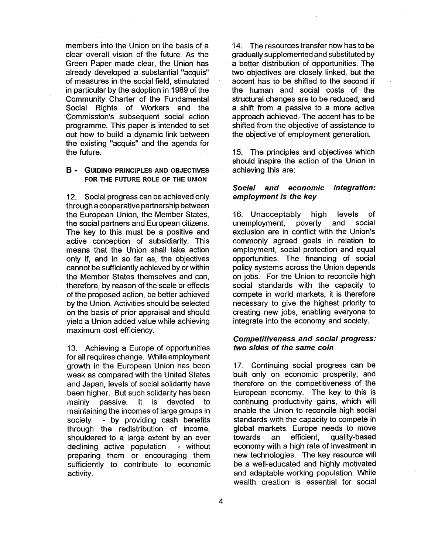members into the Union on the basis of a clear overall vision of the future. As the Green Paper made clear, the Union has already developed a substantial "acquis" of measures in the social field, stimulated in particular by the adoption in 1989 of the Community Charter of the Fundamental Social Rights of Workers and the Commission's subsequent social action programme. This paper is intended to set out how to build a dynamic link between the existing "acquis" and the agenda for the future.

#### B - GUIDING PRINCIPLES AND OBJECTIVES FOR THE FUTURE ROLE OF THE UNION

12. Social progress can be achieved only through a cooperative partnership between the European Union, the Member States the social partners and European citizens. The key to this must be a positive and active conception of subsidiarity. This means that the Union shall take action only if, and in so far as, the objectives cannot be sufficiently achieved by or within the Member States themselves and can therefore, by reason of the scale or effects of the proposed action, be better achieved by the Union. Activities should be selected on the basis of prior appraisal and should yield a Union added value while achieving maximum cost efficiency.

13. Achieving a Europe of opportunities for all requires change, While employment growth in the European Union has been weak as compared with the United States and Japan, levels of social solidarity have been higher. But such solidarity has been mainly passive, It is devoted to maintaining the incomes of large groups in society - by providing cash benefits through the redistribution of income shouldered to a large extent by an ever declining active population - without preparing them or encouraging them sufficiently to contribute to economic activity.

14. The resources transfer now has to be gradually supplemented and substituted by a better distribution of opportunities. The two objectives are closely linked, but the accent has to be shifted to the second if the human and social costs of the structural changes are to be reduced, and a shift from a passive to a more active approach achieved. The accent has to be shifted from the objective of assistance to the objective of employment generation.

15. The principles and objectives which should inspire the action of the Union in achieving this are:

#### Social and economic employment is the key integration:

16. Unacceptably high levels of<br>unemployment, poverty and social unemployment, exclusion are in conflict with the Union's commonly agreed goals in relation to employment, social protection and equ opportunities. The financing of social policy systems across the Union depends on jobs. For the Union to reconcile high social standards with the capacity to compete in world markets, it is therefore necessary to give the highest priority to creating new jobs, enabling everyone to integrate into the economy and society.

#### Competitiveness and social progress: two sides of the same coin

17. Continuing social progress can be built only on economic prosperity, and therefore on the competitiveness of the European economy. The key to this is continuing productivity gains, which will enable the Union to reconcile high social standards with the capacity to compete in global markets. Europe needs to move towards an efficient, quality-based economy with a high rate of investment in new technologies. The key resource will be a well-educated and highly motivated and adaptable working population. While wealth creation is essential for social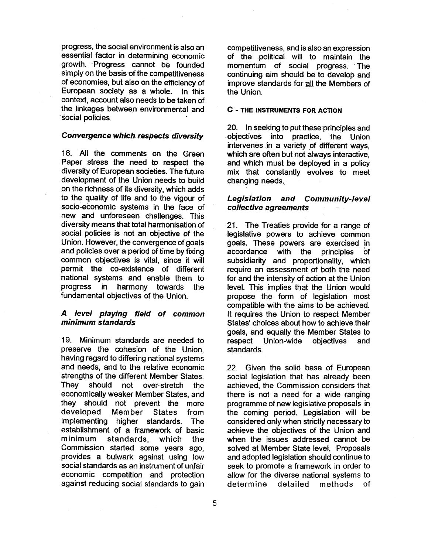progress, the social environment is also an essential factor in determining economic growth. Progress cannot be founded simply on the basis of the competitiveness of economies, but also on the efficiency of European society as a whole. In this context, account also needs to be taken of the linkages between environmental and social policies.

#### Convergence which respects diversity

18. All the comments on the Green Paper stress the need to respect the diversity of European societies. The future development of the Union needs to build on the richness of its diversity, which adds to the quality of life and to the vigour of socio~eConomic systems in the face of new and unforeseen challenges. This diversity means that total harmonisation of social policies is not an objective of the Union. However, the convergence of goals and policies over a period of time by fixing common objectives is vital, since it will permit the co-existence of different national systems and enable them to progress in harmony towards the fundamental objectives of the Union.

#### A level playing field of common minimum standards

19. Minimum standards are needed to preserve the cohesion of the Union having regard to differing national systems and needs, and to the relative economic strengths of the different Member States.<br>They should not over-stretch the<br>economically weaker Member States, and they should not prevent the more<br>developed Member States from implementing higher standards. The establishment of a framework of basic minimum standards, which the Commission started some years ago provides a bulwark against using low social standards as an instrument of unfair economic competition and protection against reducing social standards to gain competitiveness, and is also an expression of the political will to maintain the momentum of social progress. The continuing aim should be to develop and improve standards for all the Members of the Union.

#### C - THE INSTRUMENTS FOR ACTION

20. In seeking to put these principles and objectives into practice the Union intervenes in a variety of different ways. which are often but not always interactive. and which must be deployed in a policy mix that constantly evolves to meet changing needs.

#### Legislation and Community-level collective agreements

21. The Treaties provide for a range of legislative powers to achieve common goals. These powers are exercised in accordance with the principles of subsidiarity and proportionality, which require an assessment of both the need for and the intensity of action at the Union level. This implies that the Union would propose the form of legislation most compatible with the aims to be achieved. It requires the Union to respect Member States' choices about how to achieve their goals, and equally the Member States to respect Union-wide objectives and standards.

22. Given the solid base of European social legislation that has already been achieved, the Commission considers that there is not a need for a wide ranging programme of new legislative proposals in the coming period. Legislation will be considered only when strictly necessary to achieve the objectives of the Union and when the issues addressed cannot be solved at Member State level. Proposals and adopted legislation should continue to seek to promote a framework in order to allow for the diverse national systems to determine detailed methods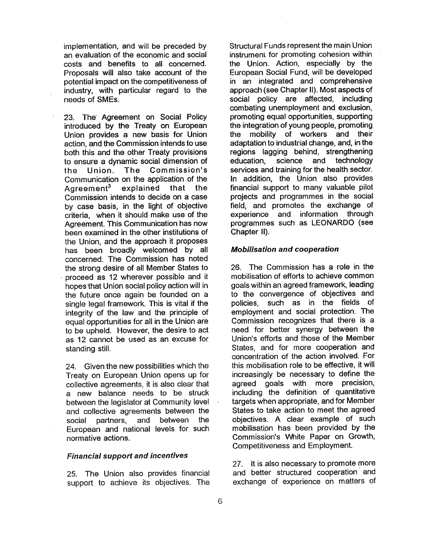implementation, and will be preceded by an evaluation of the economic and social costs and benefits to all concerned. Proposals will also take account of the potential impact on the competitiveness of industry, with particular regard to the needs of SMEs.

23. The. Agreement on Social Policy introduced by the Treaty on European Union provides a new basis for Union action, and the Commission intends to use both this and the other Treaty provisions to ensure a dynamic social dimension of<br>the Union. The Commission's Communication on the application of the Agreement<sup>3</sup> explained that the Commission intends to decide on a case by case basis, in the light of objective criteria, when it should make use of the Agreement. This Communication has now been examined in the other institutions of the Union, and the approach it proposes has been broadly welcomed by all concerned. The Commission has noted the strong desire of all Member States to . proceed as 12 wherever possible and it hopes that Union social policy action will in the future once again be founded on a single legal framework. This is vital if the integrity of the law and the principle of equal opportunities for all in the Union are to be upheld. However, the desire to act as 12 cannot be used as an excuse for standing still.

24. Given the new possibilities which the Treaty on European Union opens up for collective agreements, it is also clear that a new balance needs to be struck between the legislator at Community level and collective agreements between the social partners, and between the European and national levels for such normative actions.

#### Financial support and incentives

25. The Union also provides financial support to achieve its objectives. The Structural Funds represent the main Union<br>instrument for promoting cohesion within the Union. Action, especially by the European Social Fund, will be developed in an integrated and comprehensive approach (see Chapter II). Most aspects of social policy are affected, including combating unemployment and exclusion promoting equal opportunities, supporting the integration of young people, promoting the mobility of workers and their adaptation to industrial change, and, in the regions lagging behind, strengthening education, science and technology services and training for the health sector. In addition, the Union also provides financial support to many valuable pilot projects and programmes in the social field, and promotes the exchange of experience and information through programmes such as LEONARDO (see Chapter II).

#### Mobilisation and cooperation

26. The Commission has a role in the mobilisation of efforts to achieve common goals within an agreed framework, leading to the convergence of objectives and policies, such as in the fields of employment and social protection, The Commission recognizes that there is a need for better synergy between the Union's efforts and those of the Member States, and for more cooperation and concentration of the action involved. For this mobilisation role to be effective, it will increasingly be necessary to define the agreed goals with more precision, including the definition of quantitative targets when appropriate, and for Member States to take action to meet the agreed objectives. A clear example of such mobilisation has been provided by the Commission's White Paper on Growth, Competitiveness arid Employment.

27. It is also necessary to promote more and better structured cooperation ' and exchange of experience on matters of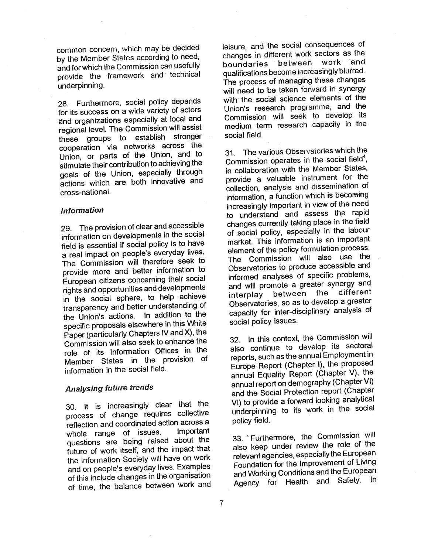common concern, which may be decided by the Member States according to need and for which the Commission can usefully provide the framework and technical underpinning.

28. Furthermore, social policy depends for its success on a wide variety of actors and organizations especially at local and<br>regional level. The Commission will assist these groups to establish stronger cooperation via networks across the Union, or parts of the Union, and to stimulate their contribution to achieving the goals of the Union, especially through actions which are both innovative and cross-national.

#### Information

29. The provision of clear and accessible information on developments in the social field is essential if social policy is to have a real impact on people's everyday lives. The Commission will therefore seek to provide more and better information to European citizens concerning their social in the social sphere, to help achieve transparency and better understanding of the Union's actions. In addition to the specific proposals elsewhere in this White Paper (particularly Chapters IV and X), the Commission will also seek to enhance the role of its Information Offices in the Member States in the provision of information in the social field.

#### Analysing future trends

30. It is increasingly clear that the process of change requires collective reflection and coordinated action across a whole range of issues. questions are being raised about the future of work itself, and the impact that the Information Society will have on work and on people's everyday lives. Examples of this include changes in the organisation of time, the balance between work and leisure, and the social consequences of changes in different work sectors as the<br>boundaries between work and qualifications become increasingly blurred. The process of managing these changes will need to be taken forward in synergy with the social science elements of the Union's research programme, and the Commission will seek to develop its medium term research capacity in the social field,

31. The various Observatories which the Commission operates in the social field<sup>4</sup>. in collaboration with the Member States, provide a valuable instrument for the collection, analysis and dissemination of information, a function which is becoming<br>increasingly important in view of the need to understand and assess the rapid changes currently taking place in the field of social policy, especially in the labour market. This information is an important The Commission will also use the Observatories to produce accessible and informed analyses of specific problems and will promote a greater synergy and<br>interplay between the different and will promote a greater syncretic method. Observatories, so as to develop a greater capacity for inter-disciplinary analysis of social policy issues.

32. In this context, the Commission will also continue to develop its sectoral reports, such as the annual Employment in Europe Report (Chapter I), the proposed annual Equality Report (Chapter V), the annual report on demography (Chapter VI) and the Social Protection report (Chapter VI) to provide a forward looking analytical underpinning to its work in the social policy field.

33. Furthermore, the Commission will also keep under review the role of the relevant agencies, especially the European Foundation for the Improvement of Living and Working Conditions and the European Agency for Health and Safety. In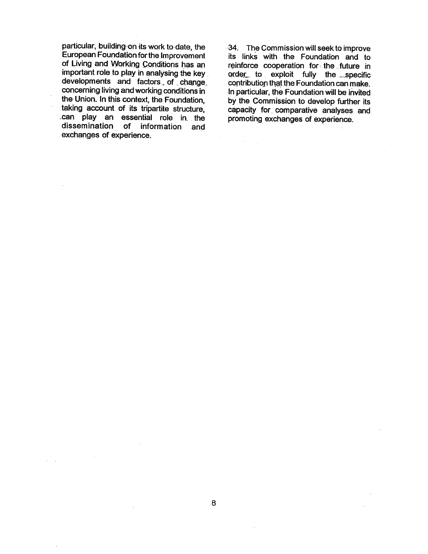particular, building on its work to date, the European Foundation for the Improvement of Living and Working Conditions has an important role to play in analysing the key developments and factors of change concerning living and working conditions in the Union. In this context, the Foundation taking account of its tripartite structure, can play an essential role in the<br>dissemination of information and of information and exchanges of experience.

34. The Commission will seek to improve its links with the Foundation and to reinforce cooperation for the future in order to exploit fully the specific contribution that the Foundation can make. In particular, the Foundation will be invited by the Commission to develop further its capacity for. comparative analyses and promoting exchanges of experience.

 $\delta \mathcal{F} = \frac{1}{2} \sum_{i=1}^n \mathcal{F}_i$